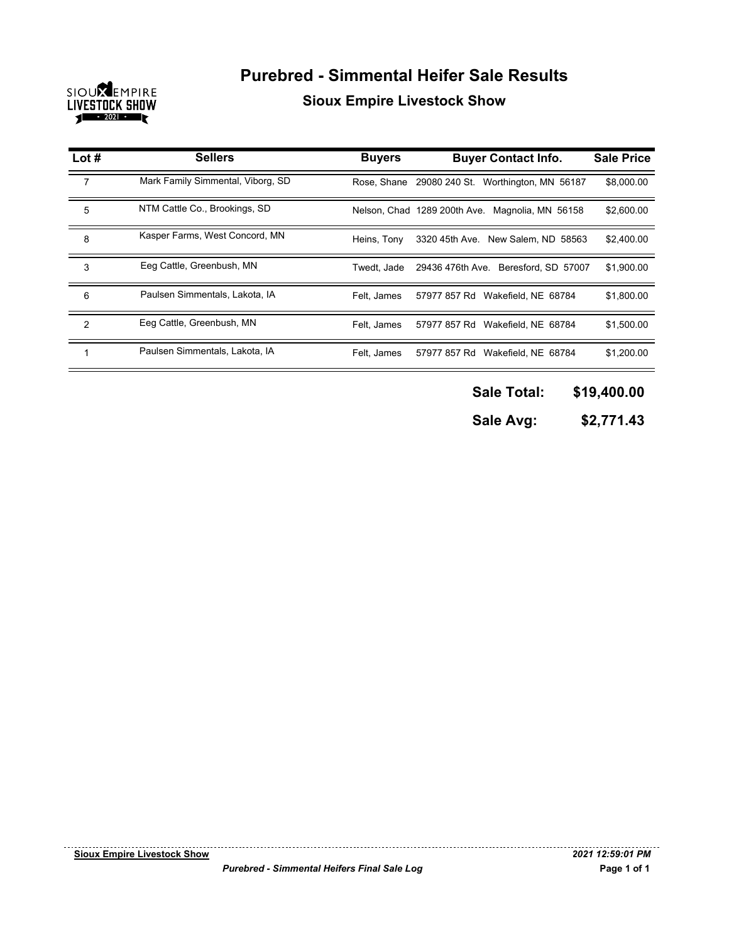

## **Purebred - Simmental Heifer Sale Results Sioux Empire Livestock Show**

| Lot $#$       | <b>Sellers</b>                    | <b>Buyers</b> | <b>Buyer Contact Info.</b>                      | <b>Sale Price</b> |
|---------------|-----------------------------------|---------------|-------------------------------------------------|-------------------|
| 7             | Mark Family Simmental, Viborg, SD |               | Rose, Shane 29080 240 St. Worthington, MN 56187 | \$8,000.00        |
| 5             | NTM Cattle Co., Brookings, SD     |               | Nelson, Chad 1289 200th Ave. Magnolia, MN 56158 | \$2,600.00        |
| 8             | Kasper Farms, West Concord, MN    | Heins. Tonv   | 3320 45th Ave. New Salem, ND 58563              | \$2,400.00        |
| 3             | Eeg Cattle, Greenbush, MN         | Twedt. Jade   | 29436 476th Ave. Beresford, SD 57007            | \$1,900.00        |
| 6             | Paulsen Simmentals, Lakota, IA    | Felt, James   | 57977 857 Rd Wakefield, NE 68784                | \$1,800.00        |
| $\mathcal{P}$ | Eeg Cattle, Greenbush, MN         | Felt, James   | 57977 857 Rd Wakefield, NE 68784                | \$1,500.00        |
|               | Paulsen Simmentals, Lakota, IA    | Felt. James   | 57977 857 Rd Wakefield, NE 68784                | \$1.200.00        |

- **\$19,400.00 Sale Total:**
- **\$2,771.43 Sale Avg:**